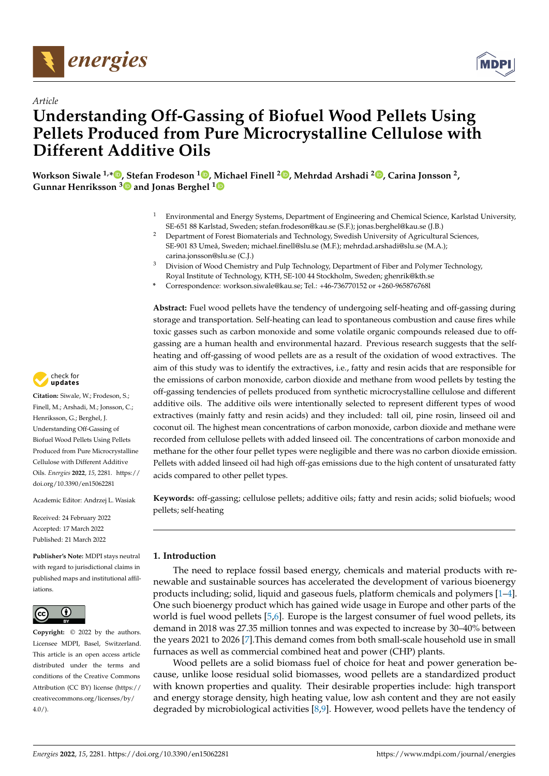



# *Article* **Understanding Off-Gassing of Biofuel Wood Pellets Using Pellets Produced from Pure Microcrystalline Cellulose with Different Additive Oils**

**Workson Siwale 1,[\\*](https://orcid.org/0000-0002-5842-2404) , Stefan Frodeson <sup>1</sup> [,](https://orcid.org/0000-0003-0446-4251) Michael Finell <sup>2</sup> [,](https://orcid.org/0000-0002-7001-6193) Mehrdad Arshadi <sup>2</sup> [,](https://orcid.org/0000-0002-3357-2799) Carina Jonsson <sup>2</sup> , Gunnar Henriksson [3](https://orcid.org/0000-0001-8817-2031) and Jonas Berghel [1](https://orcid.org/0000-0002-9707-8896)**

- <sup>1</sup> Environmental and Energy Systems, Department of Engineering and Chemical Science, Karlstad University, SE-651 88 Karlstad, Sweden; stefan.frodeson@kau.se (S.F.); jonas.berghel@kau.se (J.B.)
- <sup>2</sup> Department of Forest Biomaterials and Technology, Swedish University of Agricultural Sciences, SE-901 83 Umeå, Sweden; michael.finell@slu.se (M.F.); mehrdad.arshadi@slu.se (M.A.); carina.jonsson@slu.se (C.J.)
- <sup>3</sup> Division of Wood Chemistry and Pulp Technology, Department of Fiber and Polymer Technology, Royal Institute of Technology, KTH, SE-100 44 Stockholm, Sweden; ghenrik@kth.se
- **\*** Correspondence: workson.siwale@kau.se; Tel.: +46-736770152 or +260-965876768l

**Abstract:** Fuel wood pellets have the tendency of undergoing self-heating and off-gassing during storage and transportation. Self-heating can lead to spontaneous combustion and cause fires while toxic gasses such as carbon monoxide and some volatile organic compounds released due to offgassing are a human health and environmental hazard. Previous research suggests that the selfheating and off-gassing of wood pellets are as a result of the oxidation of wood extractives. The aim of this study was to identify the extractives, i.e., fatty and resin acids that are responsible for the emissions of carbon monoxide, carbon dioxide and methane from wood pellets by testing the off-gassing tendencies of pellets produced from synthetic microcrystalline cellulose and different additive oils. The additive oils were intentionally selected to represent different types of wood extractives (mainly fatty and resin acids) and they included: tall oil, pine rosin, linseed oil and coconut oil. The highest mean concentrations of carbon monoxide, carbon dioxide and methane were recorded from cellulose pellets with added linseed oil. The concentrations of carbon monoxide and methane for the other four pellet types were negligible and there was no carbon dioxide emission. Pellets with added linseed oil had high off-gas emissions due to the high content of unsaturated fatty acids compared to other pellet types.

**Keywords:** off-gassing; cellulose pellets; additive oils; fatty and resin acids; solid biofuels; wood pellets; self-heating

## **1. Introduction**

The need to replace fossil based energy, chemicals and material products with renewable and sustainable sources has accelerated the development of various bioenergy products including; solid, liquid and gaseous fuels, platform chemicals and polymers [\[1](#page-9-0)[–4\]](#page-9-1). One such bioenergy product which has gained wide usage in Europe and other parts of the world is fuel wood pellets [\[5](#page-9-2)[,6\]](#page-9-3). Europe is the largest consumer of fuel wood pellets, its demand in 2018 was 27.35 million tonnes and was expected to increase by 30–40% between the years 2021 to 2026 [\[7\]](#page-9-4).This demand comes from both small-scale household use in small furnaces as well as commercial combined heat and power (CHP) plants.

Wood pellets are a solid biomass fuel of choice for heat and power generation because, unlike loose residual solid biomasses, wood pellets are a standardized product with known properties and quality. Their desirable properties include: high transport and energy storage density, high heating value, low ash content and they are not easily degraded by microbiological activities [\[8,](#page-9-5)[9\]](#page-9-6). However, wood pellets have the tendency of



**Citation:** Siwale, W.; Frodeson, S.; Finell, M.; Arshadi, M.; Jonsson, C.; Henriksson, G.; Berghel, J. Understanding Off-Gassing of Biofuel Wood Pellets Using Pellets Produced from Pure Microcrystalline Cellulose with Different Additive Oils. *Energies* **2022**, *15*, 2281. [https://](https://doi.org/10.3390/en15062281) [doi.org/10.3390/en15062281](https://doi.org/10.3390/en15062281)

Academic Editor: Andrzej L. Wasiak

Received: 24 February 2022 Accepted: 17 March 2022 Published: 21 March 2022

**Publisher's Note:** MDPI stays neutral with regard to jurisdictional claims in published maps and institutional affiliations.



**Copyright:** © 2022 by the authors. Licensee MDPI, Basel, Switzerland. This article is an open access article distributed under the terms and conditions of the Creative Commons Attribution (CC BY) license [\(https://](https://creativecommons.org/licenses/by/4.0/) [creativecommons.org/licenses/by/](https://creativecommons.org/licenses/by/4.0/)  $4.0/$ ).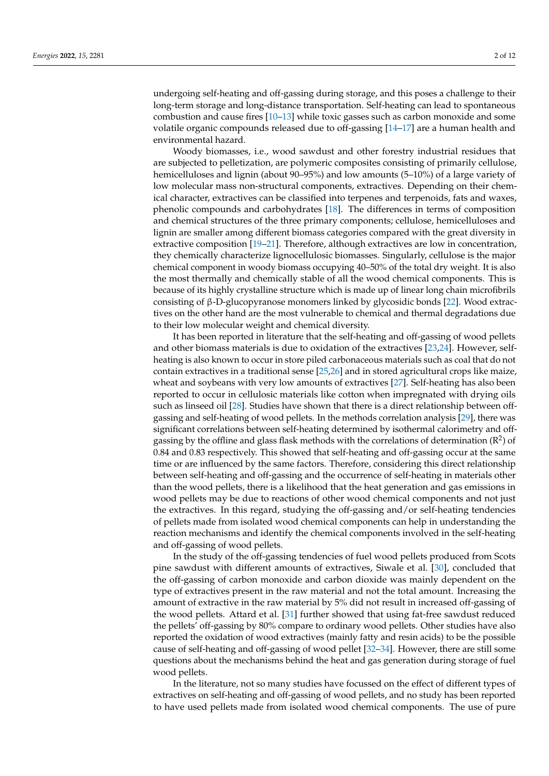undergoing self-heating and off-gassing during storage, and this poses a challenge to their long-term storage and long-distance transportation. Self-heating can lead to spontaneous combustion and cause fires [\[10](#page-9-7)[–13\]](#page-9-8) while toxic gasses such as carbon monoxide and some volatile organic compounds released due to off-gassing [\[14](#page-10-0)[–17\]](#page-10-1) are a human health and environmental hazard.

Woody biomasses, i.e., wood sawdust and other forestry industrial residues that are subjected to pelletization, are polymeric composites consisting of primarily cellulose, hemicelluloses and lignin (about 90–95%) and low amounts (5–10%) of a large variety of low molecular mass non-structural components, extractives. Depending on their chemical character, extractives can be classified into terpenes and terpenoids, fats and waxes, phenolic compounds and carbohydrates [\[18\]](#page-10-2). The differences in terms of composition and chemical structures of the three primary components; cellulose, hemicelluloses and lignin are smaller among different biomass categories compared with the great diversity in extractive composition [\[19](#page-10-3)[–21\]](#page-10-4). Therefore, although extractives are low in concentration, they chemically characterize lignocellulosic biomasses. Singularly, cellulose is the major chemical component in woody biomass occupying 40–50% of the total dry weight. It is also the most thermally and chemically stable of all the wood chemical components. This is because of its highly crystalline structure which is made up of linear long chain microfibrils consisting of β-D-glucopyranose monomers linked by glycosidic bonds [\[22\]](#page-10-5). Wood extractives on the other hand are the most vulnerable to chemical and thermal degradations due to their low molecular weight and chemical diversity.

It has been reported in literature that the self-heating and off-gassing of wood pellets and other biomass materials is due to oxidation of the extractives [\[23,](#page-10-6)[24\]](#page-10-7). However, selfheating is also known to occur in store piled carbonaceous materials such as coal that do not contain extractives in a traditional sense [\[25,](#page-10-8)[26\]](#page-10-9) and in stored agricultural crops like maize, wheat and soybeans with very low amounts of extractives [\[27\]](#page-10-10). Self-heating has also been reported to occur in cellulosic materials like cotton when impregnated with drying oils such as linseed oil [\[28\]](#page-10-11). Studies have shown that there is a direct relationship between offgassing and self-heating of wood pellets. In the methods correlation analysis [\[29\]](#page-10-12), there was significant correlations between self-heating determined by isothermal calorimetry and offgassing by the offline and glass flask methods with the correlations of determination  $(R^2)$  of 0.84 and 0.83 respectively. This showed that self-heating and off-gassing occur at the same time or are influenced by the same factors. Therefore, considering this direct relationship between self-heating and off-gassing and the occurrence of self-heating in materials other than the wood pellets, there is a likelihood that the heat generation and gas emissions in wood pellets may be due to reactions of other wood chemical components and not just the extractives. In this regard, studying the off-gassing and/or self-heating tendencies of pellets made from isolated wood chemical components can help in understanding the reaction mechanisms and identify the chemical components involved in the self-heating and off-gassing of wood pellets.

In the study of the off-gassing tendencies of fuel wood pellets produced from Scots pine sawdust with different amounts of extractives, Siwale et al. [\[30\]](#page-10-13), concluded that the off-gassing of carbon monoxide and carbon dioxide was mainly dependent on the type of extractives present in the raw material and not the total amount. Increasing the amount of extractive in the raw material by 5% did not result in increased off-gassing of the wood pellets. Attard et al. [\[31\]](#page-10-14) further showed that using fat-free sawdust reduced the pellets' off-gassing by 80% compare to ordinary wood pellets. Other studies have also reported the oxidation of wood extractives (mainly fatty and resin acids) to be the possible cause of self-heating and off-gassing of wood pellet [\[32–](#page-10-15)[34\]](#page-10-16). However, there are still some questions about the mechanisms behind the heat and gas generation during storage of fuel wood pellets.

In the literature, not so many studies have focussed on the effect of different types of extractives on self-heating and off-gassing of wood pellets, and no study has been reported to have used pellets made from isolated wood chemical components. The use of pure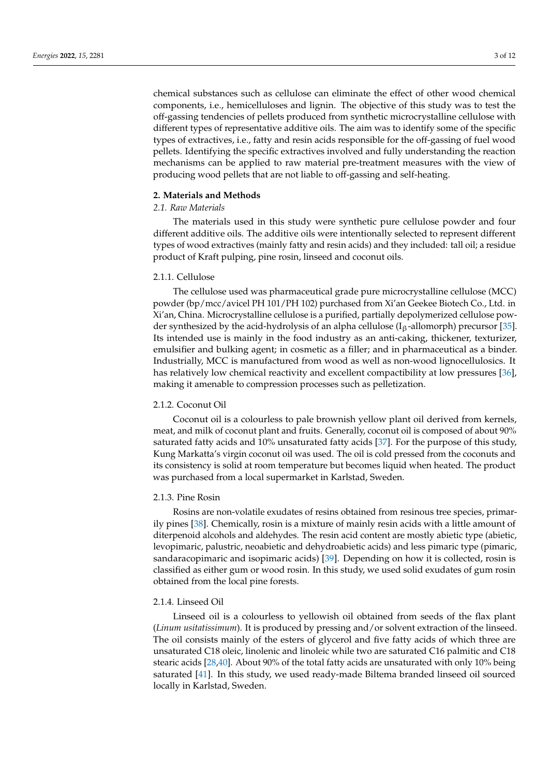chemical substances such as cellulose can eliminate the effect of other wood chemical components, i.e., hemicelluloses and lignin. The objective of this study was to test the off-gassing tendencies of pellets produced from synthetic microcrystalline cellulose with different types of representative additive oils. The aim was to identify some of the specific types of extractives, i.e., fatty and resin acids responsible for the off-gassing of fuel wood pellets. Identifying the specific extractives involved and fully understanding the reaction mechanisms can be applied to raw material pre-treatment measures with the view of producing wood pellets that are not liable to off-gassing and self-heating.

# **2. Materials and Methods**

# *2.1. Raw Materials*

The materials used in this study were synthetic pure cellulose powder and four different additive oils. The additive oils were intentionally selected to represent different types of wood extractives (mainly fatty and resin acids) and they included: tall oil; a residue product of Kraft pulping, pine rosin, linseed and coconut oils.

# 2.1.1. Cellulose

The cellulose used was pharmaceutical grade pure microcrystalline cellulose (MCC) powder (bp/mcc/avicel PH 101/PH 102) purchased from Xi'an Geekee Biotech Co., Ltd. in Xi'an, China. Microcrystalline cellulose is a purified, partially depolymerized cellulose powder synthesized by the acid-hydrolysis of an alpha cellulose ( $I_\beta$ -allomorph) precursor [\[35\]](#page-10-17). Its intended use is mainly in the food industry as an anti-caking, thickener, texturizer, emulsifier and bulking agent; in cosmetic as a filler; and in pharmaceutical as a binder. Industrially, MCC is manufactured from wood as well as non-wood lignocellulosics. It has relatively low chemical reactivity and excellent compactibility at low pressures [\[36\]](#page-10-18), making it amenable to compression processes such as pelletization.

#### 2.1.2. Coconut Oil

Coconut oil is a colourless to pale brownish yellow plant oil derived from kernels, meat, and milk of coconut plant and fruits. Generally, coconut oil is composed of about 90% saturated fatty acids and 10% unsaturated fatty acids [\[37\]](#page-10-19). For the purpose of this study, Kung Markatta's virgin coconut oil was used. The oil is cold pressed from the coconuts and its consistency is solid at room temperature but becomes liquid when heated. The product was purchased from a local supermarket in Karlstad, Sweden.

#### 2.1.3. Pine Rosin

Rosins are non-volatile exudates of resins obtained from resinous tree species, primarily pines [\[38\]](#page-10-20). Chemically, rosin is a mixture of mainly resin acids with a little amount of diterpenoid alcohols and aldehydes. The resin acid content are mostly abietic type (abietic, levopimaric, palustric, neoabietic and dehydroabietic acids) and less pimaric type (pimaric, sandaracopimaric and isopimaric acids) [\[39\]](#page-10-21). Depending on how it is collected, rosin is classified as either gum or wood rosin. In this study, we used solid exudates of gum rosin obtained from the local pine forests.

## 2.1.4. Linseed Oil

Linseed oil is a colourless to yellowish oil obtained from seeds of the flax plant (*Linum usitatissimum*). It is produced by pressing and/or solvent extraction of the linseed. The oil consists mainly of the esters of glycerol and five fatty acids of which three are unsaturated C18 oleic, linolenic and linoleic while two are saturated C16 palmitic and C18 stearic acids [\[28](#page-10-11)[,40\]](#page-10-22). About 90% of the total fatty acids are unsaturated with only 10% being saturated [\[41\]](#page-10-23). In this study, we used ready-made Biltema branded linseed oil sourced locally in Karlstad, Sweden.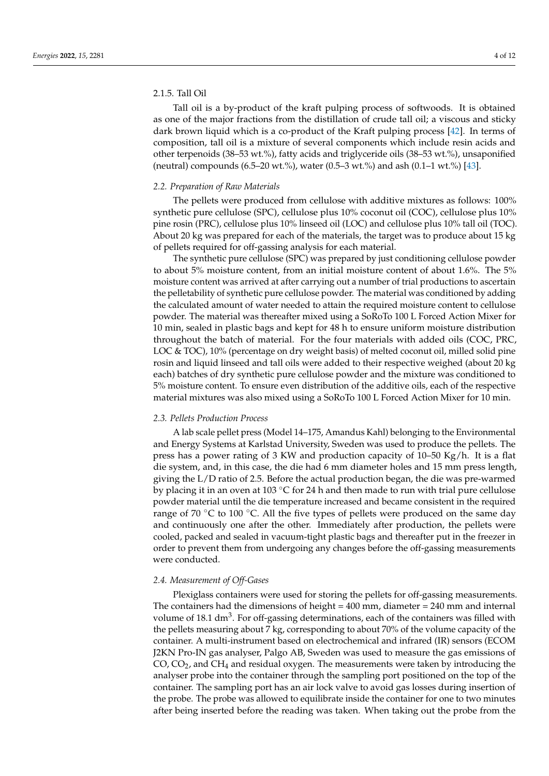# 2.1.5. Tall Oil

Tall oil is a by-product of the kraft pulping process of softwoods. It is obtained as one of the major fractions from the distillation of crude tall oil; a viscous and sticky dark brown liquid which is a co-product of the Kraft pulping process [\[42\]](#page-10-24). In terms of composition, tall oil is a mixture of several components which include resin acids and other terpenoids (38–53 wt.%), fatty acids and triglyceride oils (38–53 wt.%), unsaponified (neutral) compounds (6.5–20 wt.%), water (0.5–3 wt.%) and ash (0.1–1 wt.%) [\[43\]](#page-10-25).

#### *2.2. Preparation of Raw Materials*

The pellets were produced from cellulose with additive mixtures as follows: 100% synthetic pure cellulose (SPC), cellulose plus 10% coconut oil (COC), cellulose plus 10% pine rosin (PRC), cellulose plus 10% linseed oil (LOC) and cellulose plus 10% tall oil (TOC). About 20 kg was prepared for each of the materials, the target was to produce about 15 kg of pellets required for off-gassing analysis for each material.

The synthetic pure cellulose (SPC) was prepared by just conditioning cellulose powder to about 5% moisture content, from an initial moisture content of about 1.6%. The 5% moisture content was arrived at after carrying out a number of trial productions to ascertain the pelletability of synthetic pure cellulose powder. The material was conditioned by adding the calculated amount of water needed to attain the required moisture content to cellulose powder. The material was thereafter mixed using a SoRoTo 100 L Forced Action Mixer for 10 min, sealed in plastic bags and kept for 48 h to ensure uniform moisture distribution throughout the batch of material. For the four materials with added oils (COC, PRC, LOC & TOC), 10% (percentage on dry weight basis) of melted coconut oil, milled solid pine rosin and liquid linseed and tall oils were added to their respective weighed (about 20 kg each) batches of dry synthetic pure cellulose powder and the mixture was conditioned to 5% moisture content. To ensure even distribution of the additive oils, each of the respective material mixtures was also mixed using a SoRoTo 100 L Forced Action Mixer for 10 min.

#### *2.3. Pellets Production Process*

A lab scale pellet press (Model 14–175, Amandus Kahl) belonging to the Environmental and Energy Systems at Karlstad University, Sweden was used to produce the pellets. The press has a power rating of 3 KW and production capacity of 10–50 Kg/h. It is a flat die system, and, in this case, the die had 6 mm diameter holes and 15 mm press length, giving the L/D ratio of 2.5. Before the actual production began, the die was pre-warmed by placing it in an oven at 103  $\degree$ C for 24 h and then made to run with trial pure cellulose powder material until the die temperature increased and became consistent in the required range of 70  $\degree$ C to 100  $\degree$ C. All the five types of pellets were produced on the same day and continuously one after the other. Immediately after production, the pellets were cooled, packed and sealed in vacuum-tight plastic bags and thereafter put in the freezer in order to prevent them from undergoing any changes before the off-gassing measurements were conducted.

#### *2.4. Measurement of Off-Gases*

Plexiglass containers were used for storing the pellets for off-gassing measurements. The containers had the dimensions of height  $= 400$  mm, diameter  $= 240$  mm and internal volume of 18.1 dm<sup>3</sup>. For off-gassing determinations, each of the containers was filled with the pellets measuring about 7 kg, corresponding to about 70% of the volume capacity of the container. A multi-instrument based on electrochemical and infrared (IR) sensors (ECOM J2KN Pro-IN gas analyser, Palgo AB, Sweden was used to measure the gas emissions of CO,  $CO<sub>2</sub>$ , and CH<sub>4</sub> and residual oxygen. The measurements were taken by introducing the analyser probe into the container through the sampling port positioned on the top of the container. The sampling port has an air lock valve to avoid gas losses during insertion of the probe. The probe was allowed to equilibrate inside the container for one to two minutes after being inserted before the reading was taken. When taking out the probe from the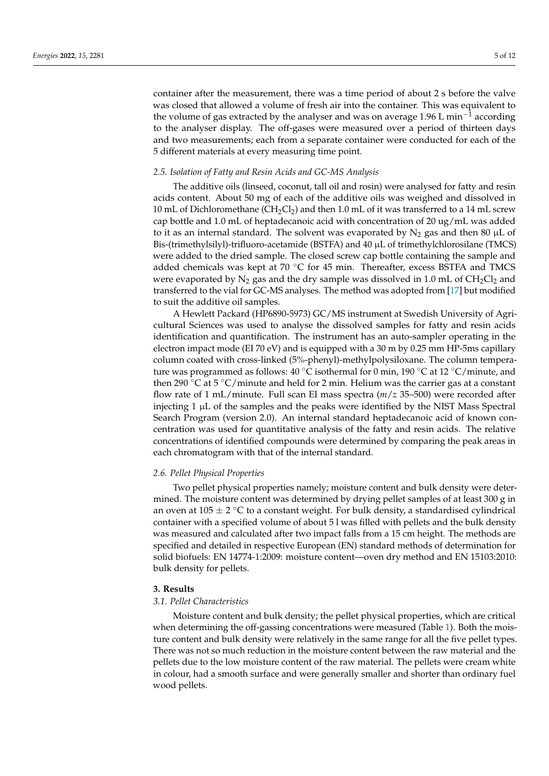container after the measurement, there was a time period of about 2 s before the valve was closed that allowed a volume of fresh air into the container. This was equivalent to the volume of gas extracted by the analyser and was on average 1.96 L min<sup>-1</sup> according to the analyser display. The off-gases were measured over a period of thirteen days and two measurements; each from a separate container were conducted for each of the 5 different materials at every measuring time point.

#### *2.5. Isolation of Fatty and Resin Acids and GC-MS Analysis*

The additive oils (linseed, coconut, tall oil and rosin) were analysed for fatty and resin acids content. About 50 mg of each of the additive oils was weighed and dissolved in 10 mL of Dichloromethane ( $CH_2Cl_2$ ) and then 1.0 mL of it was transferred to a 14 mL screw cap bottle and 1.0 mL of heptadecanoic acid with concentration of 20 ug/mL was added to it as an internal standard. The solvent was evaporated by  $N_2$  gas and then 80 µL of Bis-(trimethylsilyl)-trifluoro-acetamide (BSTFA) and 40 µL of trimethylchlorosilane (TMCS) were added to the dried sample. The closed screw cap bottle containing the sample and added chemicals was kept at 70 °C for 45 min. Thereafter, excess BSTFA and TMCS were evaporated by  $N_2$  gas and the dry sample was dissolved in 1.0 mL of  $CH_2Cl_2$  and transferred to the vial for GC-MS analyses. The method was adopted from [\[17\]](#page-10-1) but modified to suit the additive oil samples.

A Hewlett Packard (HP6890-5973) GC/MS instrument at Swedish University of Agricultural Sciences was used to analyse the dissolved samples for fatty and resin acids identification and quantification. The instrument has an auto-sampler operating in the electron impact mode (EI 70 eV) and is equipped with a 30 m by 0.25 mm HP-5ms capillary column coated with cross-linked (5%-phenyl)-methylpolysiloxane. The column temperature was programmed as follows: 40 ◦C isothermal for 0 min, 190 ◦C at 12 ◦C/minute, and then 290  $\mathrm{°C}$  at 5  $\mathrm{°C/minute}$  and held for 2 min. Helium was the carrier gas at a constant flow rate of 1 mL/minute. Full scan EI mass spectra (*m*/*z* 35–500) were recorded after injecting 1 µL of the samples and the peaks were identified by the NIST Mass Spectral Search Program (version 2.0). An internal standard heptadecanoic acid of known concentration was used for quantitative analysis of the fatty and resin acids. The relative concentrations of identified compounds were determined by comparing the peak areas in each chromatogram with that of the internal standard.

#### *2.6. Pellet Physical Properties*

Two pellet physical properties namely; moisture content and bulk density were determined. The moisture content was determined by drying pellet samples of at least 300 g in an oven at 105  $\pm$  2 °C to a constant weight. For bulk density, a standardised cylindrical container with a specified volume of about 5 l was filled with pellets and the bulk density was measured and calculated after two impact falls from a 15 cm height. The methods are specified and detailed in respective European (EN) standard methods of determination for solid biofuels: EN 14774-1:2009: moisture content—oven dry method and EN 15103:2010: bulk density for pellets.

## **3. Results**

## *3.1. Pellet Characteristics*

Moisture content and bulk density; the pellet physical properties, which are critical when determining the off-gassing concentrations were measured (Table [1\)](#page-5-0). Both the moisture content and bulk density were relatively in the same range for all the five pellet types. There was not so much reduction in the moisture content between the raw material and the pellets due to the low moisture content of the raw material. The pellets were cream white in colour, had a smooth surface and were generally smaller and shorter than ordinary fuel wood pellets.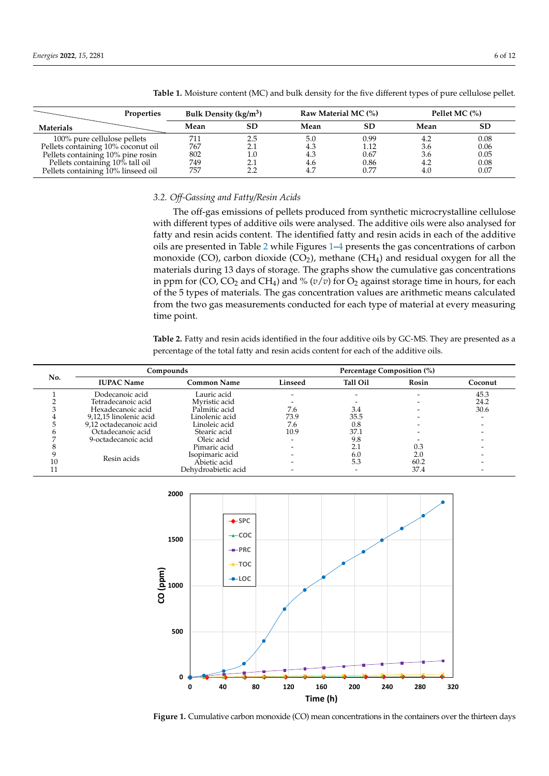|                                    | <b>Properties</b> | Bulk Density ( $\text{kg/m}^3$ ) |         | Raw Material MC (%) |           | Pellet MC $(%)$ |           |
|------------------------------------|-------------------|----------------------------------|---------|---------------------|-----------|-----------------|-----------|
| Materials                          |                   | Mean                             | SD      | Mean                | <b>SD</b> | Mean            | <b>SD</b> |
| 100% pure cellulose pellets        |                   |                                  | 2.5     | 5.0                 | 0.99      |                 | 0.08      |
| Pellets containing 10% coconut oil |                   | 767                              | 2.1     | 4.3                 | 1.12      | 3.6             | 0.06      |
| Pellets containing 10% pine rosin  |                   | 802                              | $1.0\,$ | 4.3                 | 0.67      | 3.6             | 0.05      |
| Pellets containing 10% tall oil    |                   | 749                              | 2.1     | 4.6                 | 0.86      | 4.2             | 0.08      |
| Pellets containing 10% linseed oil |                   | 757                              | 2.2     |                     | 0.77      | 4.0             | 0.07      |

<span id="page-5-0"></span>**Table 1.** Moisture content (MC) and bulk density for the five different types of pure cellulose pellet.

## *3.2. Off-Gassing and Fatty/Resin Acids*

The off-gas emissions of pellets produced from synthetic microcrystalline cellulose with different types of additive oils were analysed. The additive oils were also analysed for fatty and resin acids content. The identified fatty and resin acids in each of the additive oils are presented in Table [2](#page-5-1) while Figures [1–](#page-5-2)[4](#page-7-0) presents the gas concentrations of carbon monoxide (CO), carbon dioxide (CO<sub>2</sub>), methane (CH<sub>4</sub>) and residual oxygen for all the materials during 13 days of storage. The graphs show the cumulative gas concentrations in ppm for (CO, CO<sub>2</sub> and CH<sub>4</sub>) and % ( $v/v$ ) for O<sub>2</sub> against storage time in hours, for each of the 5 types of materials. The gas concentration values are arithmetic means calculated from the two gas measurements conducted for each type of material at every measuring time point.

<span id="page-5-1"></span>**Table 2.** Fatty and resin acids identified in the four additive oils by GC-MS. They are presented as a percentage of the total fatty and resin acids content for each of the additive oils.

| No. | Compounds              |                     | Percentage Composition (%) |                 |       |         |  |
|-----|------------------------|---------------------|----------------------------|-----------------|-------|---------|--|
|     | <b>IUPAC Name</b>      | <b>Common Name</b>  | Linseed                    | <b>Tall Oil</b> | Rosin | Coconut |  |
|     | Dodecanoic acid        | Lauric acid         |                            |                 |       | 45.3    |  |
|     | Tetradecanoic acid     | Mvristic acid       |                            |                 |       | 24.2    |  |
|     | Hexadecanoic acid      | Palmitic acid       | 7.6                        | 3.4             |       | 30.6    |  |
|     | 9,12,15 linolenic acid | Linolenic acid      | 73.9                       | 35.5            |       |         |  |
|     | 9,12 octadecanoic acid | Linoleic acid       | 7.6                        | 0.8             |       |         |  |
|     | Octadecanoic acid      | Stearic acid        | 10.9                       | 37.1            |       |         |  |
|     | 9-octadecanoic acid    | Oleic acid          |                            | 9.8             |       |         |  |
|     |                        | Pimaric acid        |                            |                 | 0.3   |         |  |
|     |                        | Isopimaric acid     |                            | 6.0             | 2.0   |         |  |
|     | Resin acids            | Abietic acid        |                            | 5.3             | 60.2  |         |  |
|     |                        | Dehydroabietic acid |                            |                 | 37.4  |         |  |

<span id="page-5-2"></span>

**Figure 1.** Cumulative carbon monoxide (CO) mean concentrations in the containers over the thirteen **Figure 1.** Cumulative carbon monoxide (CO) mean concentrations in the containers over the thirteen days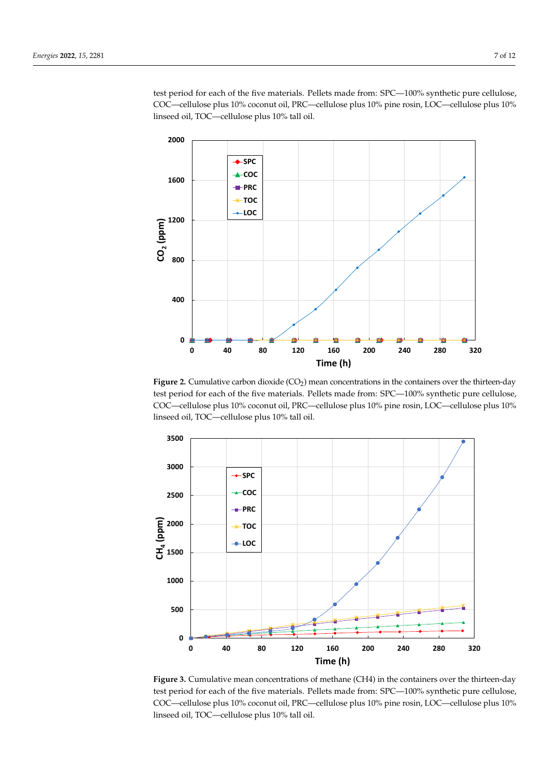test period for each of the five materials. Pellets made from: SPC—100% synthetic pure cellulose, COC—cellulose plus 10% coconut oil, PRC—cellulose plus 10% pine rosin, LOC—cellulose plus 10% lose, COC—cellulose plus 10% coconut oil, PRC—cellulose plus 10% pine rosin, LOC—cellulose linseed oil, TOC—cellulose plus 10% tall oil. ich of the five materials. Pellets made from:  $\text{SC}=100\%$  synthetic pure cellulose,

**Time (h)**

<span id="page-6-1"></span>

**Figure 2.** Cumulative carbon dioxide (CO<sub>2</sub>) mean concentrations in the containers over the thirteen-day **Figure 2.** test period for each of the five materials. Pellets made from: SPC—100% synthetic pure cellulose, COC—cellulose plus 10% coconut oil, PRC—cellulose plus 10% pine rosin, LOC—cellulose plus 10% linseed oil, TOC—cellulose plus 10% tall oil.

<span id="page-6-0"></span>

**Figure 3.** Cumulative mean concentrations of methane (CH4) in the containers over the thirteen-day **Figure 3.** Cumulative mean concentrations of methane (CH4) in the containers over the thirteen-day test period for each of the five materials. Pellets made from: SPC—100% synthetic pure cellulose, test period for each of the five materials. Pellets made from: SPC—100% synthetic pure cellulose, COC—cellulose plus 10% coconut oil, PRC—cellulose plus 10% pine rosin, LOC—cellulose plus COC—cellulose plus 10% coconut oil, PRC—cellulose plus 10% pine rosin, LOC—cellulose plus 10% 10% linseed oil, TOC—cellulose plus 10% tall oil. linseed oil, TOC—cellulose plus 10% tall oil.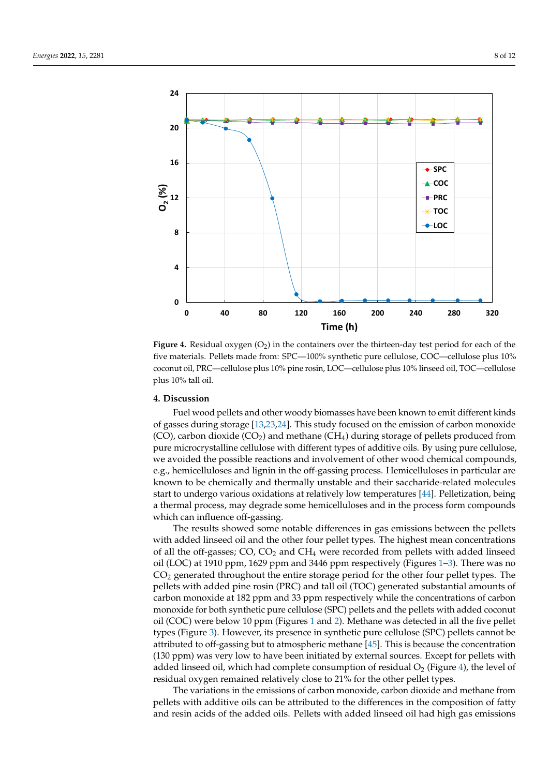test period for each of the five materials. Pellets materials. Pellets made from: SPC—100% synthetic pure cell

<span id="page-7-0"></span>

five materials. Pellets made from: SPC—100% synthetic pure cellulose, COC—cellulose plus 10% materials. Pellets made from: SPC—100% synthetic pure cellulose, COC—cellulose plus 10% coconut oil, PRC—cellulose plus 10% pine rosin, LOC—cellulose plus 10% linseed oil, TOC—cellulose coconut oil, PRC—cellulose plus 10% pine rosin, LOC—cellulose plus 10% linseed oil, TOC—cellulose **Figure 4.** Residual oxygen (O<sub>2</sub>) in the containers over the thirteen-day test period for each of the plus 10% tall oil.

# **4. Discussion**

Fuel wood pellets and other woody biomasses have been known to emit different kinds of gasses during storage [\[13](#page-9-8)[,23](#page-10-6)[,24\]](#page-10-7). This study focused on the emission of carbon monoxide  $(CO)$ , carbon dioxide  $(CO_2)$  and methane  $(CH_4)$  during storage of pellets produced from pure microcrystalline cellulose with different types of additive oils. By using pure cellulose, we avoided the possible reactions and involvement of other wood chemical compounds, e.g., hemicelluloses and lignin in the off-gassing process. Hemicelluloses in particular are known to be chemically and thermally unstable and their saccharide-related molecules start to undergo various oxidations at relatively low temperatures [\[44\]](#page-11-0). Pelletization, being a thermal process, may degrade some hemicelluloses and in the process form compounds which can influence off-gassing.

The results showed some notable differences in gas emissions between the pellets with added linseed oil and the other four pellet types. The highest mean concentrations of all the off-gasses;  $CO$ ,  $CO<sub>2</sub>$  and  $CH<sub>4</sub>$  were recorded from pellets with added linseed oil (LOC) at 1910 ppm, 1629 ppm and 3446 ppm respectively (Figures [1–](#page-5-2)[3\)](#page-6-0). There was no  $CO<sub>2</sub>$  generated throughout the entire storage period for the other four pellet types. The pellets with added pine rosin (PRC) and tall oil (TOC) generated substantial amounts of carbon monoxide at 182 ppm and 33 ppm respectively while the concentrations of carbon monoxide for both synthetic pure cellulose (SPC) pellets and the pellets with added coconut oil (COC) were below 10 ppm (Figures [1](#page-5-2) and [2\)](#page-6-1). Methane was detected in all the five pellet types (Figure [3\)](#page-6-0). However, its presence in synthetic pure cellulose (SPC) pellets cannot be attributed to off-gassing but to atmospheric methane [\[45\]](#page-11-1). This is because the concentration (130 ppm) was very low to have been initiated by external sources. Except for pellets with added linseed oil, which had complete consumption of residual  $O_2$  (Figure [4\)](#page-7-0), the level of residual oxygen remained relatively close to 21% for the other pellet types.

The variations in the emissions of carbon monoxide, carbon dioxide and methane from pellets with additive oils can be attributed to the differences in the composition of fatty and resin acids of the added oils. Pellets with added linseed oil had high gas emissions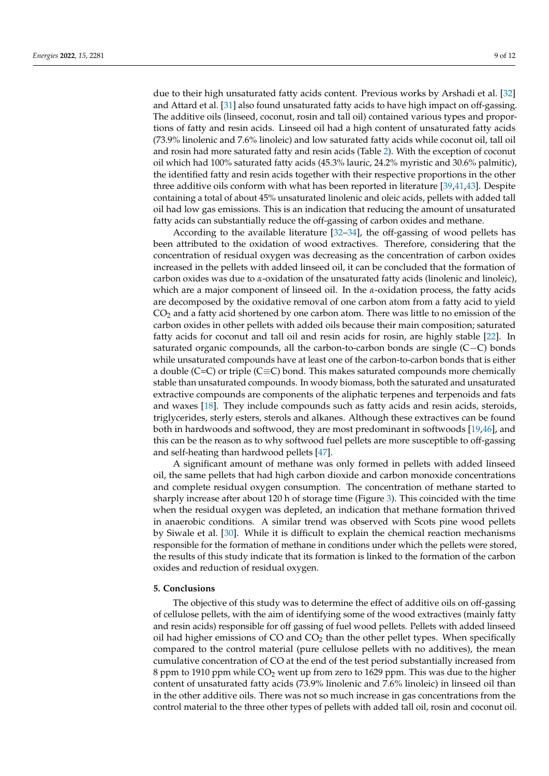due to their high unsaturated fatty acids content. Previous works by Arshadi et al. [\[32\]](#page-10-15) and Attard et al. [\[31\]](#page-10-14) also found unsaturated fatty acids to have high impact on off-gassing. The additive oils (linseed, coconut, rosin and tall oil) contained various types and proportions of fatty and resin acids. Linseed oil had a high content of unsaturated fatty acids (73.9% linolenic and 7.6% linoleic) and low saturated fatty acids while coconut oil, tall oil and rosin had more saturated fatty and resin acids (Table [2\)](#page-5-1). With the exception of coconut oil which had 100% saturated fatty acids (45.3% lauric, 24.2% myristic and 30.6% palmitic), the identified fatty and resin acids together with their respective proportions in the other three additive oils conform with what has been reported in literature [\[39,](#page-10-21)[41](#page-10-23)[,43\]](#page-10-25). Despite containing a total of about 45% unsaturated linolenic and oleic acids, pellets with added tall oil had low gas emissions. This is an indication that reducing the amount of unsaturated fatty acids can substantially reduce the off-gassing of carbon oxides and methane.

According to the available literature [\[32–](#page-10-15)[34\]](#page-10-16), the off-gassing of wood pellets has been attributed to the oxidation of wood extractives. Therefore, considering that the concentration of residual oxygen was decreasing as the concentration of carbon oxides increased in the pellets with added linseed oil, it can be concluded that the formation of carbon oxides was due to *α*-oxidation of the unsaturated fatty acids (linolenic and linoleic), which are a major component of linseed oil. In the *α*-oxidation process, the fatty acids are decomposed by the oxidative removal of one carbon atom from a fatty acid to yield  $CO<sub>2</sub>$  and a fatty acid shortened by one carbon atom. There was little to no emission of the carbon oxides in other pellets with added oils because their main composition; saturated fatty acids for coconut and tall oil and resin acids for rosin, are highly stable [\[22\]](#page-10-5). In saturated organic compounds, all the carbon-to-carbon bonds are single (C−C) bonds while unsaturated compounds have at least one of the carbon-to-carbon bonds that is either a double (C=C) or triple (C $\equiv$ C) bond. This makes saturated compounds more chemically stable than unsaturated compounds. In woody biomass, both the saturated and unsaturated extractive compounds are components of the aliphatic terpenes and terpenoids and fats and waxes [\[18\]](#page-10-2). They include compounds such as fatty acids and resin acids, steroids, triglycerides, sterly esters, sterols and alkanes. Although these extractives can be found both in hardwoods and softwood, they are most predominant in softwoods [\[19,](#page-10-3)[46\]](#page-11-2), and this can be the reason as to why softwood fuel pellets are more susceptible to off-gassing and self-heating than hardwood pellets [\[47\]](#page-11-3).

A significant amount of methane was only formed in pellets with added linseed oil, the same pellets that had high carbon dioxide and carbon monoxide concentrations and complete residual oxygen consumption. The concentration of methane started to sharply increase after about 120 h of storage time (Figure [3\)](#page-6-0). This coincided with the time when the residual oxygen was depleted, an indication that methane formation thrived in anaerobic conditions. A similar trend was observed with Scots pine wood pellets by Siwale et al. [\[30\]](#page-10-13). While it is difficult to explain the chemical reaction mechanisms responsible for the formation of methane in conditions under which the pellets were stored, the results of this study indicate that its formation is linked to the formation of the carbon oxides and reduction of residual oxygen.

#### **5. Conclusions**

The objective of this study was to determine the effect of additive oils on off-gassing of cellulose pellets, with the aim of identifying some of the wood extractives (mainly fatty and resin acids) responsible for off gassing of fuel wood pellets. Pellets with added linseed oil had higher emissions of  $CO$  and  $CO<sub>2</sub>$  than the other pellet types. When specifically compared to the control material (pure cellulose pellets with no additives), the mean cumulative concentration of CO at the end of the test period substantially increased from 8 ppm to 1910 ppm while CO<sup>2</sup> went up from zero to 1629 ppm. This was due to the higher content of unsaturated fatty acids (73.9% linolenic and 7.6% linoleic) in linseed oil than in the other additive oils. There was not so much increase in gas concentrations from the control material to the three other types of pellets with added tall oil, rosin and coconut oil.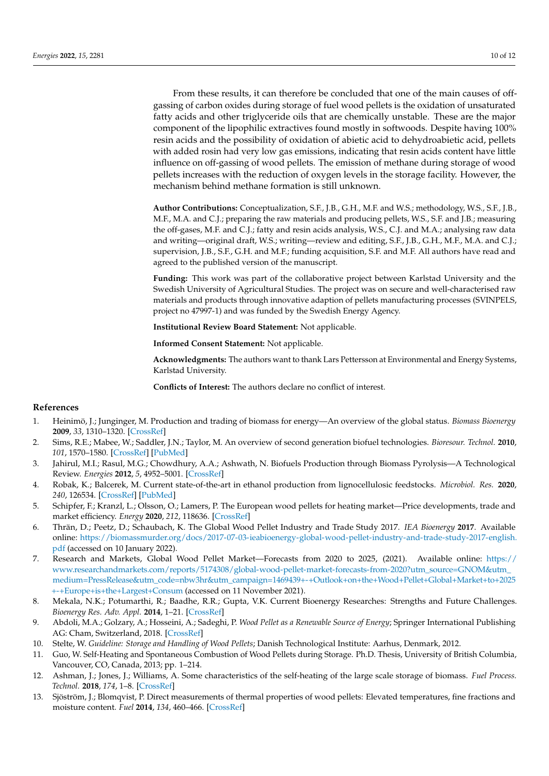From these results, it can therefore be concluded that one of the main causes of offgassing of carbon oxides during storage of fuel wood pellets is the oxidation of unsaturated fatty acids and other triglyceride oils that are chemically unstable. These are the major component of the lipophilic extractives found mostly in softwoods. Despite having 100% resin acids and the possibility of oxidation of abietic acid to dehydroabietic acid, pellets with added rosin had very low gas emissions, indicating that resin acids content have little influence on off-gassing of wood pellets. The emission of methane during storage of wood pellets increases with the reduction of oxygen levels in the storage facility. However, the mechanism behind methane formation is still unknown.

**Author Contributions:** Conceptualization, S.F., J.B., G.H., M.F. and W.S.; methodology, W.S., S.F., J.B., M.F., M.A. and C.J.; preparing the raw materials and producing pellets, W.S., S.F. and J.B.; measuring the off-gases, M.F. and C.J.; fatty and resin acids analysis, W.S., C.J. and M.A.; analysing raw data and writing—original draft, W.S.; writing—review and editing, S.F., J.B., G.H., M.F., M.A. and C.J.; supervision, J.B., S.F., G.H. and M.F.; funding acquisition, S.F. and M.F. All authors have read and agreed to the published version of the manuscript.

**Funding:** This work was part of the collaborative project between Karlstad University and the Swedish University of Agricultural Studies. The project was on secure and well-characterised raw materials and products through innovative adaption of pellets manufacturing processes (SVINPELS, project no 47997-1) and was funded by the Swedish Energy Agency.

**Institutional Review Board Statement:** Not applicable.

**Informed Consent Statement:** Not applicable.

**Acknowledgments:** The authors want to thank Lars Pettersson at Environmental and Energy Systems, Karlstad University.

**Conflicts of Interest:** The authors declare no conflict of interest.

#### **References**

- <span id="page-9-0"></span>1. Heinimö, J.; Junginger, M. Production and trading of biomass for energy—An overview of the global status. *Biomass Bioenergy* **2009**, *33*, 1310–1320. [\[CrossRef\]](http://doi.org/10.1016/j.biombioe.2009.05.017)
- 2. Sims, R.E.; Mabee, W.; Saddler, J.N.; Taylor, M. An overview of second generation biofuel technologies. *Bioresour. Technol.* **2010**, *101*, 1570–1580. [\[CrossRef\]](http://doi.org/10.1016/j.biortech.2009.11.046) [\[PubMed\]](http://www.ncbi.nlm.nih.gov/pubmed/19963372)
- 3. Jahirul, M.I.; Rasul, M.G.; Chowdhury, A.A.; Ashwath, N. Biofuels Production through Biomass Pyrolysis—A Technological Review. *Energies* **2012**, *5*, 4952–5001. [\[CrossRef\]](http://doi.org/10.3390/en5124952)
- <span id="page-9-1"></span>4. Robak, K.; Balcerek, M. Current state-of-the-art in ethanol production from lignocellulosic feedstocks. *Microbiol. Res.* **2020**, *240*, 126534. [\[CrossRef\]](http://doi.org/10.1016/j.micres.2020.126534) [\[PubMed\]](http://www.ncbi.nlm.nih.gov/pubmed/32683278)
- <span id="page-9-2"></span>5. Schipfer, F.; Kranzl, L.; Olsson, O.; Lamers, P. The European wood pellets for heating market—Price developments, trade and market efficiency. *Energy* **2020**, *212*, 118636. [\[CrossRef\]](http://doi.org/10.1016/j.energy.2020.118636)
- <span id="page-9-3"></span>6. Thrän, D.; Peetz, D.; Schaubach, K. The Global Wood Pellet Industry and Trade Study 2017. *IEA Bioenergy* **2017**. Available online: [https://biomassmurder.org/docs/2017-07-03-ieabioenergy-global-wood-pellet-industry-and-trade-study-2017-english.](https://biomassmurder.org/docs/2017-07-03-ieabioenergy-global-wood-pellet-industry-and-trade-study-2017-english.pdf) [pdf](https://biomassmurder.org/docs/2017-07-03-ieabioenergy-global-wood-pellet-industry-and-trade-study-2017-english.pdf) (accessed on 10 January 2022).
- <span id="page-9-4"></span>7. Research and Markets, Global Wood Pellet Market—Forecasts from 2020 to 2025, (2021). Available online: [https://](https://www.researchandmarkets.com/reports/5174308/global-wood-pellet-market-forecasts-from-2020?utm_source=GNOM&utm_medium=PressRelease&utm_code=nbw3hr&utm_campaign=1469439+-+Outlook+on+the+Wood+Pellet+Global+Market+to+2025+-+Europe+is+the+Largest+Consum) [www.researchandmarkets.com/reports/5174308/global-wood-pellet-market-forecasts-from-2020?utm\\_source=GNOM&utm\\_](https://www.researchandmarkets.com/reports/5174308/global-wood-pellet-market-forecasts-from-2020?utm_source=GNOM&utm_medium=PressRelease&utm_code=nbw3hr&utm_campaign=1469439+-+Outlook+on+the+Wood+Pellet+Global+Market+to+2025+-+Europe+is+the+Largest+Consum) [medium=PressRelease&utm\\_code=nbw3hr&utm\\_campaign=1469439+-+Outlook+on+the+Wood+Pellet+Global+Market+to+2025](https://www.researchandmarkets.com/reports/5174308/global-wood-pellet-market-forecasts-from-2020?utm_source=GNOM&utm_medium=PressRelease&utm_code=nbw3hr&utm_campaign=1469439+-+Outlook+on+the+Wood+Pellet+Global+Market+to+2025+-+Europe+is+the+Largest+Consum) [+-+Europe+is+the+Largest+Consum](https://www.researchandmarkets.com/reports/5174308/global-wood-pellet-market-forecasts-from-2020?utm_source=GNOM&utm_medium=PressRelease&utm_code=nbw3hr&utm_campaign=1469439+-+Outlook+on+the+Wood+Pellet+Global+Market+to+2025+-+Europe+is+the+Largest+Consum) (accessed on 11 November 2021).
- <span id="page-9-5"></span>8. Mekala, N.K.; Potumarthi, R.; Baadhe, R.R.; Gupta, V.K. Current Bioenergy Researches: Strengths and Future Challenges. *Bioenergy Res. Adv. Appl.* **2014**, 1–21. [\[CrossRef\]](http://doi.org/10.1016/b978-0-444-59561-4.00001-2)
- <span id="page-9-6"></span>9. Abdoli, M.A.; Golzary, A.; Hosseini, A.; Sadeghi, P. *Wood Pellet as a Renewable Source of Energy*; Springer International Publishing AG: Cham, Switzerland, 2018. [\[CrossRef\]](http://doi.org/10.1007/978-3-319-74482-7)
- <span id="page-9-7"></span>10. Stelte, W. *Guideline: Storage and Handling of Wood Pellets*; Danish Technological Institute: Aarhus, Denmark, 2012.
- 11. Guo, W. Self-Heating and Spontaneous Combustion of Wood Pellets during Storage. Ph.D. Thesis, University of British Columbia, Vancouver, CO, Canada, 2013; pp. 1–214.
- 12. Ashman, J.; Jones, J.; Williams, A. Some characteristics of the self-heating of the large scale storage of biomass. *Fuel Process. Technol.* **2018**, *174*, 1–8. [\[CrossRef\]](http://doi.org/10.1016/j.fuproc.2018.02.004)
- <span id="page-9-8"></span>13. Sjöström, J.; Blomqvist, P. Direct measurements of thermal properties of wood pellets: Elevated temperatures, fine fractions and moisture content. *Fuel* **2014**, *134*, 460–466. [\[CrossRef\]](http://doi.org/10.1016/j.fuel.2014.05.088)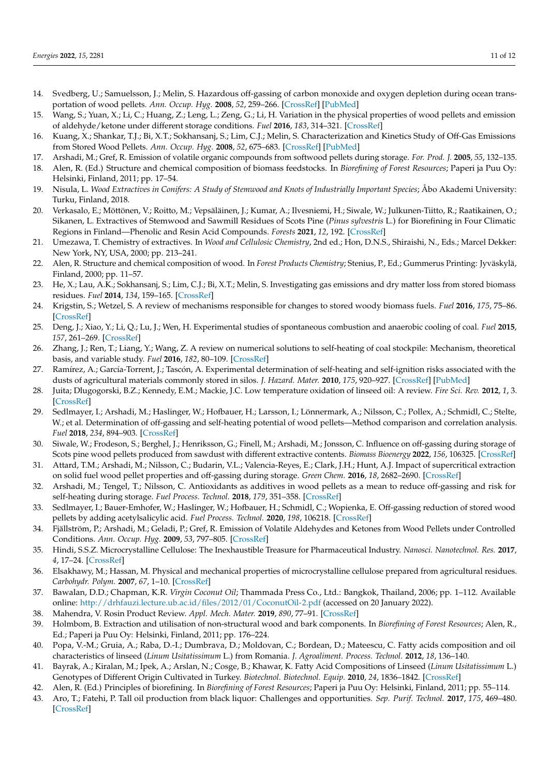- <span id="page-10-0"></span>14. Svedberg, U.; Samuelsson, J.; Melin, S. Hazardous off-gassing of carbon monoxide and oxygen depletion during ocean transportation of wood pellets. *Ann. Occup. Hyg.* **2008**, *52*, 259–266. [\[CrossRef\]](http://doi.org/10.1093/annhyg/men013) [\[PubMed\]](http://www.ncbi.nlm.nih.gov/pubmed/18397907)
- 15. Wang, S.; Yuan, X.; Li, C.; Huang, Z.; Leng, L.; Zeng, G.; Li, H. Variation in the physical properties of wood pellets and emission of aldehyde/ketone under different storage conditions. *Fuel* **2016**, *183*, 314–321. [\[CrossRef\]](http://doi.org/10.1016/j.fuel.2016.06.083)
- 16. Kuang, X.; Shankar, T.J.; Bi, X.T.; Sokhansanj, S.; Lim, C.J.; Melin, S. Characterization and Kinetics Study of Off-Gas Emissions from Stored Wood Pellets. *Ann. Occup. Hyg.* **2008**, *52*, 675–683. [\[CrossRef\]](http://doi.org/10.1093/annhyg/men053) [\[PubMed\]](http://www.ncbi.nlm.nih.gov/pubmed/18714087)
- <span id="page-10-2"></span><span id="page-10-1"></span>17. Arshadi, M.; Gref, R. Emission of volatile organic compounds from softwood pellets during storage. *For. Prod. J.* **2005**, *55*, 132–135. 18. Alen, R. (Ed.) Structure and chemical composition of biomass feedstocks. In *Biorefining of Forest Resources*; Paperi ja Puu Oy:
- <span id="page-10-3"></span>Helsinki, Finland, 2011; pp. 17–54. 19. Nisula, L. *Wood Extractives in Conifers: A Study of Stemwood and Knots of Industrially Important Species*; Åbo Akademi University: Turku, Finland, 2018.
- 20. Verkasalo, E.; Möttönen, V.; Roitto, M.; Vepsäläinen, J.; Kumar, A.; Ilvesniemi, H.; Siwale, W.; Julkunen-Tiitto, R.; Raatikainen, O.; Sikanen, L. Extractives of Stemwood and Sawmill Residues of Scots Pine (*Pinus sylvestris* L.) for Biorefining in Four Climatic Regions in Finland—Phenolic and Resin Acid Compounds. *Forests* **2021**, *12*, 192. [\[CrossRef\]](http://doi.org/10.3390/f12020192)
- <span id="page-10-4"></span>21. Umezawa, T. Chemistry of extractives. In *Wood and Cellulosic Chemistry*, 2nd ed.; Hon, D.N.S., Shiraishi, N., Eds.; Marcel Dekker: New York, NY, USA, 2000; pp. 213–241.
- <span id="page-10-5"></span>22. Alen, R. Structure and chemical composition of wood. In *Forest Products Chemistry*; Stenius, P., Ed.; Gummerus Printing: Jyväskylä, Finland, 2000; pp. 11–57.
- <span id="page-10-6"></span>23. He, X.; Lau, A.K.; Sokhansanj, S.; Lim, C.J.; Bi, X.T.; Melin, S. Investigating gas emissions and dry matter loss from stored biomass residues. *Fuel* **2014**, *134*, 159–165. [\[CrossRef\]](http://doi.org/10.1016/j.fuel.2014.05.061)
- <span id="page-10-7"></span>24. Krigstin, S.; Wetzel, S. A review of mechanisms responsible for changes to stored woody biomass fuels. *Fuel* **2016**, *175*, 75–86. [\[CrossRef\]](http://doi.org/10.1016/j.fuel.2016.02.014)
- <span id="page-10-8"></span>25. Deng, J.; Xiao, Y.; Li, Q.; Lu, J.; Wen, H. Experimental studies of spontaneous combustion and anaerobic cooling of coal. *Fuel* **2015**, *157*, 261–269. [\[CrossRef\]](http://doi.org/10.1016/j.fuel.2015.04.063)
- <span id="page-10-9"></span>26. Zhang, J.; Ren, T.; Liang, Y.; Wang, Z. A review on numerical solutions to self-heating of coal stockpile: Mechanism, theoretical basis, and variable study. *Fuel* **2016**, *182*, 80–109. [\[CrossRef\]](http://doi.org/10.1016/j.fuel.2016.05.087)
- <span id="page-10-10"></span>27. Ramírez, A.; García-Torrent, J.; Tascón, A. Experimental determination of self-heating and self-ignition risks associated with the dusts of agricultural materials commonly stored in silos. *J. Hazard. Mater.* **2010**, *175*, 920–927. [\[CrossRef\]](http://doi.org/10.1016/j.jhazmat.2009.10.096) [\[PubMed\]](http://www.ncbi.nlm.nih.gov/pubmed/19944529)
- <span id="page-10-11"></span>28. Juita; Dlugogorski, B.Z.; Kennedy, E.M.; Mackie, J.C. Low temperature oxidation of linseed oil: A review. *Fire Sci. Rev.* **2012**, *1*, 3. [\[CrossRef\]](http://doi.org/10.1186/2193-0414-1-3)
- <span id="page-10-12"></span>29. Sedlmayer, I.; Arshadi, M.; Haslinger, W.; Hofbauer, H.; Larsson, I.; Lönnermark, A.; Nilsson, C.; Pollex, A.; Schmidl, C.; Stelte, W.; et al. Determination of off-gassing and self-heating potential of wood pellets—Method comparison and correlation analysis. *Fuel* **2018**, *234*, 894–903. [\[CrossRef\]](http://doi.org/10.1016/j.fuel.2018.07.117)
- <span id="page-10-13"></span>30. Siwale, W.; Frodeson, S.; Berghel, J.; Henriksson, G.; Finell, M.; Arshadi, M.; Jonsson, C. Influence on off-gassing during storage of Scots pine wood pellets produced from sawdust with different extractive contents. *Biomass Bioenergy* **2022**, *156*, 106325. [\[CrossRef\]](http://doi.org/10.1016/j.biombioe.2021.106325)
- <span id="page-10-14"></span>31. Attard, T.M.; Arshadi, M.; Nilsson, C.; Budarin, V.L.; Valencia-Reyes, E.; Clark, J.H.; Hunt, A.J. Impact of supercritical extraction on solid fuel wood pellet properties and off-gassing during storage. *Green Chem.* **2016**, *18*, 2682–2690. [\[CrossRef\]](http://doi.org/10.1039/C5GC02479J)
- <span id="page-10-15"></span>32. Arshadi, M.; Tengel, T.; Nilsson, C. Antioxidants as additives in wood pellets as a mean to reduce off-gassing and risk for self-heating during storage. *Fuel Process. Technol.* **2018**, *179*, 351–358. [\[CrossRef\]](http://doi.org/10.1016/j.fuproc.2018.07.026)
- 33. Sedlmayer, I.; Bauer-Emhofer, W.; Haslinger, W.; Hofbauer, H.; Schmidl, C.; Wopienka, E. Off-gassing reduction of stored wood pellets by adding acetylsalicylic acid. *Fuel Process. Technol.* **2020**, *198*, 106218. [\[CrossRef\]](http://doi.org/10.1016/j.fuproc.2019.106218)
- <span id="page-10-16"></span>34. Fjällström, P.; Arshadi, M.; Geladi, P.; Gref, R. Emission of Volatile Aldehydes and Ketones from Wood Pellets under Controlled Conditions. *Ann. Occup. Hyg.* **2009**, *53*, 797–805. [\[CrossRef\]](http://doi.org/10.1093/annhyg/mep058)
- <span id="page-10-17"></span>35. Hindi, S.S.Z. Microcrystalline Cellulose: The Inexhaustible Treasure for Pharmaceutical Industry. *Nanosci. Nanotechnol. Res.* **2017**, *4*, 17–24. [\[CrossRef\]](http://doi.org/10.12691/nnr-4-1-3)
- <span id="page-10-18"></span>36. Elsakhawy, M.; Hassan, M. Physical and mechanical properties of microcrystalline cellulose prepared from agricultural residues. *Carbohydr. Polym.* **2007**, *67*, 1–10. [\[CrossRef\]](http://doi.org/10.1016/j.carbpol.2006.04.009)
- <span id="page-10-19"></span>37. Bawalan, D.D.; Chapman, K.R. *Virgin Coconut Oil*; Thammada Press Co., Ltd.: Bangkok, Thailand, 2006; pp. 1–112. Available online: <http://drhfauzi.lecture.ub.ac.id/files/2012/01/CoconutOil-2.pdf> (accessed on 20 January 2022).
- <span id="page-10-20"></span>38. Mahendra, V. Rosin Product Review. *Appl. Mech. Mater.* **2019**, *890*, 77–91. [\[CrossRef\]](http://doi.org/10.4028/www.scientific.net/AMM.890.77)
- <span id="page-10-21"></span>39. Holmbom, B. Extraction and utilisation of non-structural wood and bark components. In *Biorefining of Forest Resources*; Alen, R., Ed.; Paperi ja Puu Oy: Helsinki, Finland, 2011; pp. 176–224.
- <span id="page-10-22"></span>40. Popa, V.-M.; Gruia, A.; Raba, D.-I.; Dumbrava, D.; Moldovan, C.; Bordean, D.; Mateescu, C. Fatty acids composition and oil characteristics of linseed (*Linum Usitatissimum* L.) from Romania. *J. Agroaliment. Process. Technol.* **2012**, *18*, 136–140.
- <span id="page-10-23"></span>41. Bayrak, A.; Kiralan, M.; Ipek, A.; Arslan, N.; Cosge, B.; Khawar, K. Fatty Acid Compositions of Linseed (*Linum Usitatissimum* L.) Genotypes of Different Origin Cultivated in Turkey. *Biotechnol. Biotechnol. Equip.* **2010**, *24*, 1836–1842. [\[CrossRef\]](http://doi.org/10.2478/V10133-010-0034-2)
- <span id="page-10-24"></span>42. Alen, R. (Ed.) Principles of biorefining. In *Biorefining of Forest Resources*; Paperi ja Puu Oy: Helsinki, Finland, 2011; pp. 55–114.
- <span id="page-10-25"></span>43. Aro, T.; Fatehi, P. Tall oil production from black liquor: Challenges and opportunities. *Sep. Purif. Technol.* **2017**, *175*, 469–480. [\[CrossRef\]](http://doi.org/10.1016/j.seppur.2016.10.027)